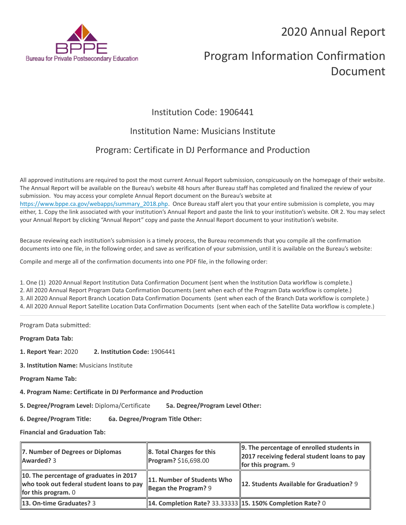2020 Annual Report



# Program Information Confirmation Document

# Institution Code: 1906441

# Institution Name: Musicians Institute

# Program: Certificate in DJ Performance and Production

All approved institutions are required to post the most current Annual Report submission, conspicuously on the homepage of their website. The Annual Report will be available on the Bureau's website 48 hours after Bureau staff has completed and finalized the review of your submission. You may access your complete Annual Report document on the Bureau's website at [https://www.bppe.ca.gov/webapps/summary\\_2018.php.](https://www.bppe.ca.gov/webapps/summary_2018.php) Once Bureau staff alert you that your entire submission is complete, you may either, 1. Copy the link associated with your institution's Annual Report and paste the link to your institution's website. OR 2. You may select your Annual Report by clicking "Annual Report" copy and paste the Annual Report document to your institution's website.

Because reviewing each institution's submission is a timely process, the Bureau recommends that you compile all the confirmation documents into one file, in the following order, and save as verification of your submission, until it is available on the Bureau's website:

Compile and merge all of the confirmation documents into one PDF file, in the following order:

1. One (1) 2020 Annual Report Institution Data Confirmation Document (sent when the Institution Data workflow is complete.) 2. All 2020 Annual Report Program Data Confirmation Documents (sent when each of the Program Data workflow is complete.) 3. All 2020 Annual Report Branch Location Data Confirmation Documents (sent when each of the Branch Data workflow is complete.) 4. All 2020 Annual Report Satellite Location Data Confirmation Documents (sent when each of the Satellite Data workflow is complete.)

Program Data submitted:

**Program Data Tab:**

- **1. Report Year:** 2020 **2. Institution Code:** 1906441
- **3. Institution Name:** Musicians Institute
- **Program Name Tab:**
- **4. Program Name: Certificate in DJ Performance and Production**

**5. Degree/Program Level:** Diploma/Certificate **5a. Degree/Program Level Other:**

**6. Degree/Program Title: 6a. Degree/Program Title Other:**

**Financial and Graduation Tab:**

| 7. Number of Degrees or Diplomas<br><b>Awarded? 3</b>                                                         | $\ 8.$ Total Charges for this<br>Program? \$16,698.00       | $\parallel$ 9. The percentage of enrolled students in<br>2017 receiving federal student loans to pay<br>for this program. $9$ |
|---------------------------------------------------------------------------------------------------------------|-------------------------------------------------------------|-------------------------------------------------------------------------------------------------------------------------------|
| 10. The percentage of graduates in 2017<br>who took out federal student loans to pay<br>for this program. $0$ | 11. Number of Students Who<br>Began the Program? $9$        | 12. Students Available for Graduation? 9                                                                                      |
| <b>13. On-time Graduates? 3</b>                                                                               | 14. Completion Rate? 33.33333   15. 150% Completion Rate? 0 |                                                                                                                               |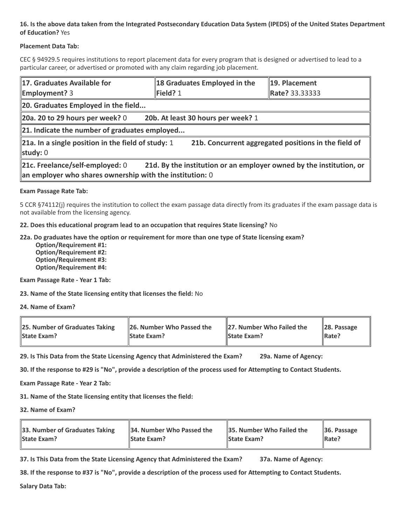## **16. Is the above data taken from the Integrated Postsecondary Education Data System (IPEDS) of the United States Department of Education?** Yes

## **Placement Data Tab:**

CEC § 94929.5 requires institutions to report placement data for every program that is designed or advertised to lead to a particular career, or advertised or promoted with any claim regarding job placement.

| 17. Graduates Available for<br><b>Employment?</b> 3                                                                                                                  | 18 Graduates Employed in the<br>Field? 1 | 19. Placement<br>Rate? 33.33333 |  |  |
|----------------------------------------------------------------------------------------------------------------------------------------------------------------------|------------------------------------------|---------------------------------|--|--|
| 20. Graduates Employed in the field                                                                                                                                  |                                          |                                 |  |  |
| 20a. 20 to 29 hours per week? $0$                                                                                                                                    | 20b. At least 30 hours per week? 1       |                                 |  |  |
| $\ $ 21. Indicate the number of graduates employed                                                                                                                   |                                          |                                 |  |  |
| 21a. In a single position in the field of study: 1<br>21b. Concurrent aggregated positions in the field of<br>study: $0$                                             |                                          |                                 |  |  |
| 21c. Freelance/self-employed: 0<br>21d. By the institution or an employer owned by the institution, or<br>an employer who shares ownership with the institution: $0$ |                                          |                                 |  |  |

### **Exam Passage Rate Tab:**

5 CCR §74112(j) requires the institution to collect the exam passage data directly from its graduates if the exam passage data is not available from the licensing agency.

### **22. Does this educational program lead to an occupation that requires State licensing?** No

### **22a. Do graduates have the option or requirement for more than one type of State licensing exam?**

 **Option/Requirement #1: Option/Requirement #2: Option/Requirement #3: Option/Requirement #4:**

**Exam Passage Rate - Year 1 Tab:**

**23. Name of the State licensing entity that licenses the field:** No

**24. Name of Exam?**

| 25. Number of Graduates Taking | 26. Number Who Passed the | 27. Number Who Failed the | $\ $ 28. Passage |
|--------------------------------|---------------------------|---------------------------|------------------|
| <b>State Exam?</b>             | <b>State Exam?</b>        | <b>State Exam?</b>        | Rate?            |

**29. Is This Data from the State Licensing Agency that Administered the Exam? 29a. Name of Agency:**

**30. If the response to #29 is "No", provide a description of the process used for Attempting to Contact Students.**

**Exam Passage Rate - Year 2 Tab:**

**31. Name of the State licensing entity that licenses the field:**

**32. Name of Exam?**

| 33. Number of Graduates Taking | 34. Number Who Passed the | <b>35. Number Who Failed the</b> | $\parallel$ 36. Passage |
|--------------------------------|---------------------------|----------------------------------|-------------------------|
| <b>State Exam?</b>             | <b>State Exam?</b>        | <b>State Exam?</b>               | $\parallel$ Rate?       |

**37. Is This Data from the State Licensing Agency that Administered the Exam? 37a. Name of Agency:**

**38. If the response to #37 is "No", provide a description of the process used for Attempting to Contact Students.** 

**Salary Data Tab:**